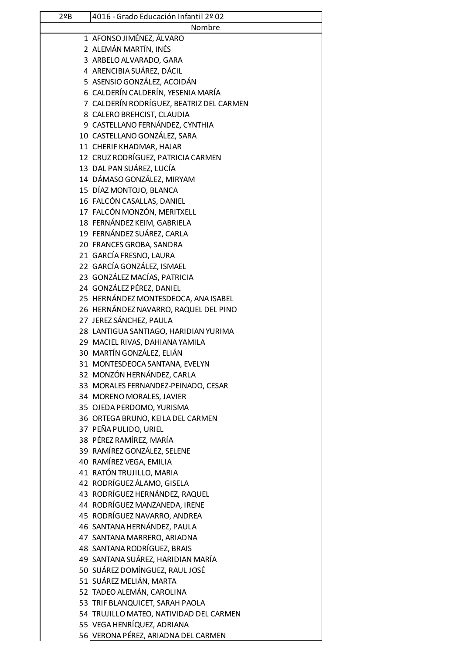| 29B | 4016 - Grado Educación Infantil 2º 02    |
|-----|------------------------------------------|
|     | Nombre                                   |
|     | 1 AFONSO JIMÉNEZ, ÁLVARO                 |
|     | 2 ALEMÁN MARTÍN, INÉS                    |
|     | 3 ARBELO ALVARADO, GARA                  |
|     | 4 ARENCIBIA SUÁREZ, DÁCIL                |
|     | 5 ASENSIO GONZÁLEZ, ACOIDÁN              |
|     | 6 CALDERÍN CALDERÍN, YESENIA MARÍA       |
|     | 7 CALDERÍN RODRÍGUEZ, BEATRIZ DEL CARMEN |
|     | 8 CALERO BREHCIST, CLAUDIA               |
|     | 9 CASTELLANO FERNÁNDEZ, CYNTHIA          |
|     | 10 CASTELLANO GONZÁLEZ, SARA             |
|     | 11 CHERIF KHADMAR, HAJAR                 |
|     | 12 CRUZ RODRÍGUEZ, PATRICIA CARMEN       |
|     | 13 DAL PAN SUÁREZ, LUCÍA                 |
|     | 14 DÁMASO GONZÁLEZ, MIRYAM               |
|     | 15 DÍAZ MONTOJO, BLANCA                  |
|     | 16 FALCÓN CASALLAS, DANIEL               |
|     | 17 FALCÓN MONZÓN, MERITXELL              |
|     | 18 FERNÁNDEZ KEIM, GABRIELA              |
|     | 19 FERNÁNDEZ SUÁREZ, CARLA               |
|     | 20 FRANCES GROBA, SANDRA                 |
|     | 21 GARCÍA FRESNO, LAURA                  |
|     | 22 GARCÍA GONZÁLEZ, ISMAEL               |
|     | 23 GONZÁLEZ MACÍAS, PATRICIA             |
|     | 24 GONZÁLEZ PÉREZ, DANIEL                |
|     | 25 HERNÁNDEZ MONTESDEOCA, ANA ISABEL     |
|     | 26 HERNÁNDEZ NAVARRO, RAQUEL DEL PINO    |
|     | 27 JEREZ SÁNCHEZ, PAULA                  |
|     | 28 LANTIGUA SANTIAGO, HARIDIAN YURIMA    |
|     | 29 MACIEL RIVAS, DAHIANA YAMILA          |
|     | 30 MARTÍN GONZÁLEZ, ELIÁN                |
|     | 31 MONTESDEOCA SANTANA, EVELYN           |
|     | 32 MONZÓN HERNÁNDEZ, CARLA               |
|     | 33 MORALES FERNANDEZ-PEINADO, CESAR      |
|     | 34 MORENO MORALES, JAVIER                |
|     | 35 OJEDA PERDOMO, YURISMA                |
|     | 36 ORTEGA BRUNO, KEILA DEL CARMEN        |
|     | 37 PEÑA PULIDO, URIEL                    |
|     | 38 PÉREZ RAMÍREZ, MARÍA                  |
|     | 39 RAMÍREZ GONZÁLEZ, SELENE              |
|     | 40 RAMÍREZ VEGA, EMILIA                  |
|     | 41 RATÓN TRUJILLO, MARIA                 |
|     | 42 RODRÍGUEZ ÁLAMO, GISELA               |
|     | 43 RODRÍGUEZ HERNÁNDEZ, RAQUEL           |
|     | 44 RODRÍGUEZ MANZANEDA, IRENE            |
|     | 45 RODRÍGUEZ NAVARRO, ANDREA             |
|     | 46 SANTANA HERNÁNDEZ, PAULA              |
|     | 47 SANTANA MARRERO, ARIADNA              |
|     | 48 SANTANA RODRÍGUEZ, BRAIS              |
|     | 49 SANTANA SUÁREZ, HARIDIAN MARÍA        |
|     | 50 SUÁREZ DOMÍNGUEZ, RAUL JOSÉ           |
|     | 51 SUÁREZ MELIÁN, MARTA                  |
|     | 52 TADEO ALEMÁN, CAROLINA                |
|     | 53 TRIF BLANQUICET, SARAH PAOLA          |
|     | 54 TRUJILLO MATEO, NATIVIDAD DEL CARMEN  |
|     | 55 VEGA HENRÍQUEZ, ADRIANA               |
|     | 56 VERONA PÉREZ, ARIADNA DEL CARMEN      |